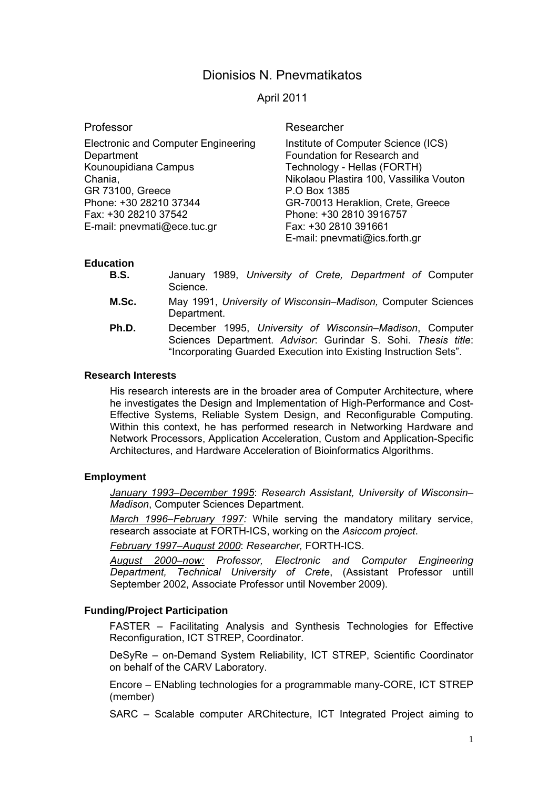# Dionisios N. Pnevmatikatos

April 2011

Professor

Electronic and Computer Engineering **Department** Kounoupidiana Campus Chania, GR 73100, Greece Phone: +30 28210 37344 Fax: +30 28210 37542 E-mail: pnevmati@ece.tuc.gr

Researcher

Institute of Computer Science (ICS) Foundation for Research and Technology - Hellas (FORTH) Nikolaou Plastira 100, Vassilika Vouton P.O Box 1385 GR-70013 Heraklion, Crete, Greece Phone: +30 2810 3916757 Fax: +30 2810 391661 E-mail: pnevmati@ics.forth.gr

### **Education**

| <b>B.S.</b> | January 1989, University of Crete, Department of Computer<br>Science.                                                                                                                          |
|-------------|------------------------------------------------------------------------------------------------------------------------------------------------------------------------------------------------|
| M.Sc.       | May 1991, University of Wisconsin–Madison, Computer Sciences<br>Department.                                                                                                                    |
| Ph.D.       | December 1995, University of Wisconsin–Madison, Computer<br>Sciences Department. Advisor: Gurindar S. Sohi. Thesis title:<br>"Incorporating Guarded Execution into Existing Instruction Sets". |

#### **Research Interests**

His research interests are in the broader area of Computer Architecture, where he investigates the Design and Implementation of High-Performance and Cost-Effective Systems, Reliable System Design, and Reconfigurable Computing. Within this context, he has performed research in Networking Hardware and Network Processors, Application Acceleration, Custom and Application-Specific Architectures, and Hardware Acceleration of Bioinformatics Algorithms.

### **Employment**

*January 1993–December 1995*: *Research Assistant, University of Wisconsin– Madison*, Computer Sciences Department.

*March 1996–February 1997:* While serving the mandatory military service, research associate at FORTH-ICS, working on the *Asiccom project*.

*February 1997–August 2000*: *Researcher,* FORTH-ICS.

*August 2000–now: Professor, Electronic and Computer Engineering Department, Technical University of Crete*, (Assistant Professor untill September 2002, Associate Professor until November 2009).

### **Funding/Project Participation**

FASTER – Facilitating Analysis and Synthesis Technologies for Effective Reconfiguration, ICT STREP, Coordinator.

DeSyRe – on-Demand System Reliability, ICT STREP, Scientific Coordinator on behalf of the CARV Laboratory.

Encore – ENabling technologies for a programmable many-CORE, ICT STREP (member)

SARC – Scalable computer ARChitecture, ICT Integrated Project aiming to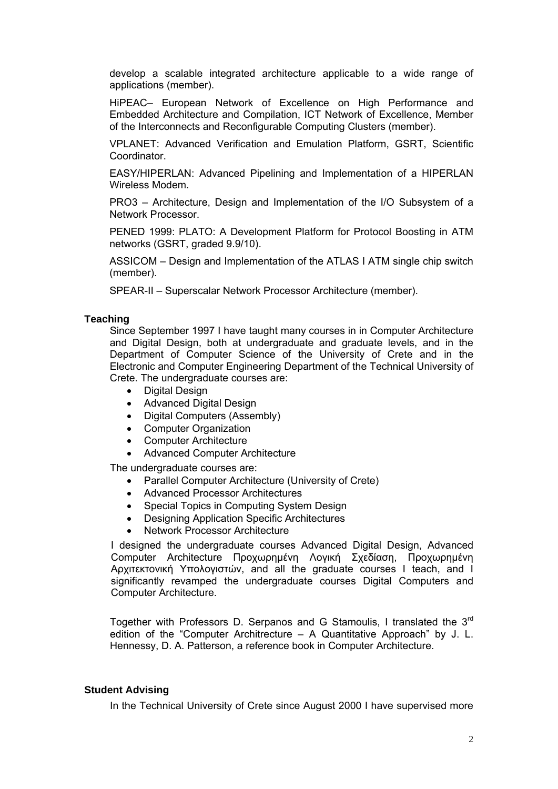develop a scalable integrated architecture applicable to a wide range of applications (member).

HiPEAC– European Network of Excellence on High Performance and Embedded Architecture and Compilation, ICT Network of Excellence, Member of the Interconnects and Reconfigurable Computing Clusters (member).

VPLANET: Advanced Verification and Emulation Platform, GSRT, Scientific Coordinator.

EASY/HIPERLAN: Advanced Pipelining and Implementation of a HIPERLAN Wireless Modem.

PRO3 – Architecture, Design and Implementation of the I/O Subsystem of a Network Processor.

PENED 1999: PLATO: A Development Platform for Protocol Boosting in ATM networks (GSRT, graded 9.9/10).

ASSICOM – Design and Implementation of the ATLAS I ATM single chip switch (member).

SPEAR-II – Superscalar Network Processor Architecture (member).

#### **Teaching**

Since September 1997 I have taught many courses in in Computer Architecture and Digital Design, both at undergraduate and graduate levels, and in the Department of Computer Science of the University of Crete and in the Electronic and Computer Engineering Department of the Technical University of Crete. The undergraduate courses are:

- Digital Design
- Advanced Digital Design
- Digital Computers (Assembly)
- Computer Organization
- Computer Architecture
- Advanced Computer Architecture

The undergraduate courses are:

- Parallel Computer Architecture (University of Crete)
- Advanced Processor Architectures
- Special Topics in Computing System Design
- Designing Application Specific Architectures
- Network Processor Architecture

I designed the undergraduate courses Advanced Digital Design, Advanced Computer Architecture Προχωρημένη Λογική Σχεδίαση, Προχωρημένη Αρχιτεκτονική Υπολογιστών, and all the graduate courses I teach, and I significantly revamped the undergraduate courses Digital Computers and Computer Architecture.

Together with Professors D. Serpanos and G Stamoulis, I translated the 3rd edition of the "Computer Architrecture – A Quantitative Approach" by J. L. Hennessy, D. A. Patterson, a reference book in Computer Architecture.

#### **Student Advising**

In the Technical University of Crete since August 2000 I have supervised more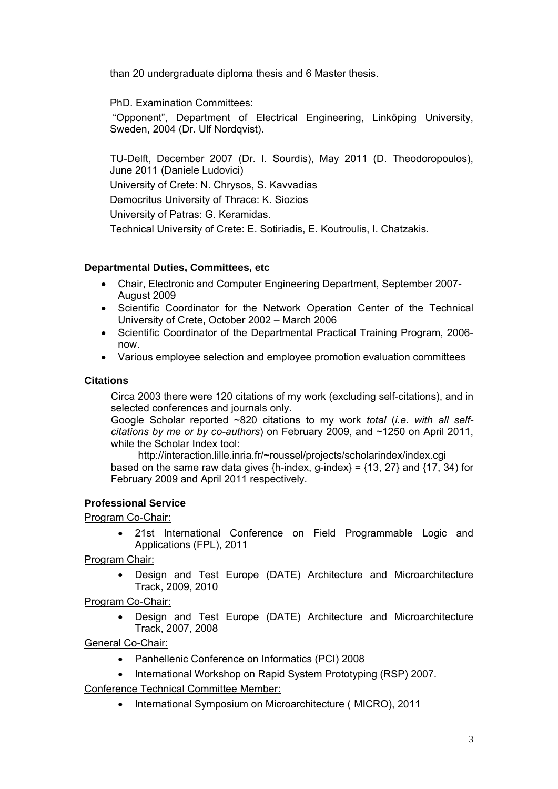than 20 undergraduate diploma thesis and 6 Master thesis.

PhD. Examination Committees:

 "Opponent", Department of Electrical Engineering, Linköping University, Sweden, 2004 (Dr. Ulf Nordqvist).

TU-Delft, December 2007 (Dr. I. Sourdis), May 2011 (D. Theodoropoulos), June 2011 (Daniele Ludovici) University of Crete: N. Chrysos, S. Kavvadias Democritus University of Thrace: K. Siozios University of Patras: G. Keramidas. Technical University of Crete: E. Sotiriadis, E. Koutroulis, I. Chatzakis.

## **Departmental Duties, Committees, etc**

- Chair, Electronic and Computer Engineering Department, September 2007- August 2009
- Scientific Coordinator for the Network Operation Center of the Technical University of Crete, October 2002 – March 2006
- Scientific Coordinator of the Departmental Practical Training Program, 2006now.
- Various employee selection and employee promotion evaluation committees

## **Citations**

Circa 2003 there were 120 citations of my work (excluding self-citations), and in selected conferences and journals only.

Google Scholar reported ~820 citations to my work *total* (*i.e. with all selfcitations by me or by co-authors*) on February 2009, and ~1250 on April 2011, while the Scholar Index tool:

http://interaction.lille.inria.fr/~roussel/projects/scholarindex/index.cgi based on the same raw data gives  $\{h\text{-index}, g\text{-index}\} = \{13, 27\}$  and  $\{17, 34\}$  for February 2009 and April 2011 respectively.

## **Professional Service**

Program Co-Chair:

 21st International Conference on Field Programmable Logic and Applications (FPL), 2011

Program Chair:

 Design and Test Europe (DATE) Architecture and Microarchitecture Track, 2009, 2010

## Program Co-Chair:

 Design and Test Europe (DATE) Architecture and Microarchitecture Track, 2007, 2008

General Co-Chair:

- Panhellenic Conference on Informatics (PCI) 2008
- International Workshop on Rapid System Prototyping (RSP) 2007.

Conference Technical Committee Member:

• International Symposium on Microarchitecture (MICRO), 2011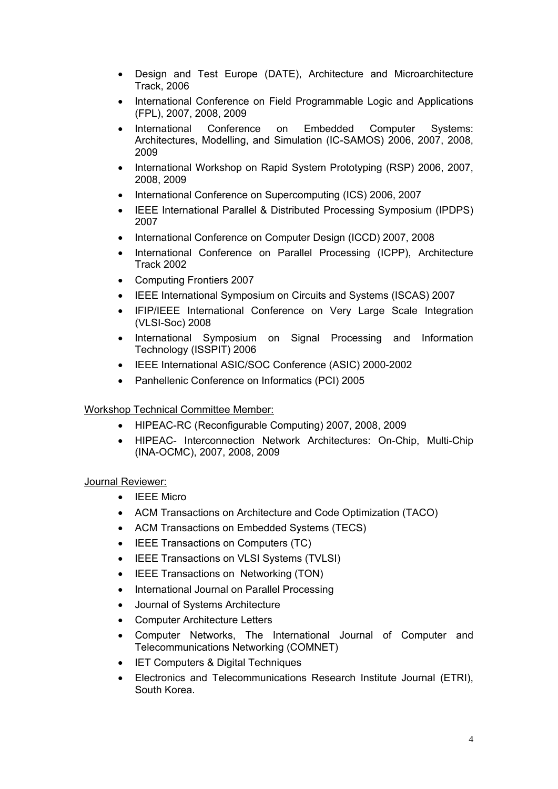- Design and Test Europe (DATE), Architecture and Microarchitecture Track, 2006
- International Conference on Field Programmable Logic and Applications (FPL), 2007, 2008, 2009
- International Conference on Embedded Computer Systems: Architectures, Modelling, and Simulation (IC-SAMOS) 2006, 2007, 2008, 2009
- International Workshop on Rapid System Prototyping (RSP) 2006, 2007, 2008, 2009
- International Conference on Supercomputing (ICS) 2006, 2007
- IEEE International Parallel & Distributed Processing Symposium (IPDPS) 2007
- International Conference on Computer Design (ICCD) 2007, 2008
- International Conference on Parallel Processing (ICPP), Architecture Track 2002
- Computing Frontiers 2007
- IEEE International Symposium on Circuits and Systems (ISCAS) 2007
- IFIP/IEEE International Conference on Very Large Scale Integration (VLSI-Soc) 2008
- International Symposium on Signal Processing and Information Technology (ISSPIT) 2006
- IEEE International ASIC/SOC Conference (ASIC) 2000-2002
- Panhellenic Conference on Informatics (PCI) 2005

### Workshop Technical Committee Member:

- HIPEAC-RC (Reconfigurable Computing) 2007, 2008, 2009
- HIPEAC- Interconnection Network Architectures: On-Chip, Multi-Chip (INA-OCMC), 2007, 2008, 2009

### Journal Reviewer:

- IEEE Micro
- ACM Transactions on Architecture and Code Optimization (TACO)
- ACM Transactions on Embedded Systems (TECS)
- IEEE Transactions on Computers (TC)
- IEEE Transactions on VLSI Systems (TVLSI)
- IEEE Transactions on Networking (TON)
- International Journal on Parallel Processing
- Journal of Systems Architecture
- Computer Architecture Letters
- Computer Networks, The International Journal of Computer and Telecommunications Networking (COMNET)
- IET Computers & Digital Techniques
- Electronics and Telecommunications Research Institute Journal (ETRI), South Korea.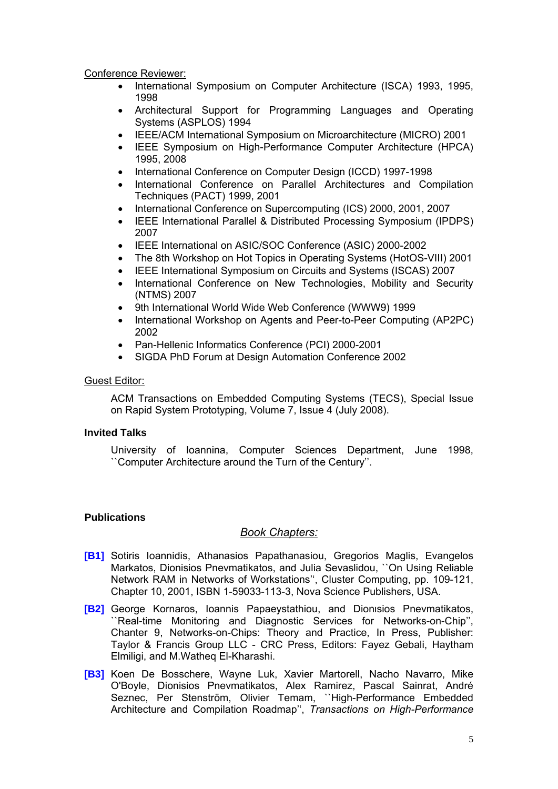Conference Reviewer:

- International Symposium on Computer Architecture (ISCA) 1993, 1995, 1998
- Architectural Support for Programming Languages and Operating Systems (ASPLOS) 1994
- IEEE/ACM International Symposium on Microarchitecture (MICRO) 2001
- IEEE Symposium on High-Performance Computer Architecture (HPCA) 1995, 2008
- International Conference on Computer Design (ICCD) 1997-1998
- International Conference on Parallel Architectures and Compilation Techniques (PACT) 1999, 2001
- International Conference on Supercomputing (ICS) 2000, 2001, 2007
- IEEE International Parallel & Distributed Processing Symposium (IPDPS) 2007
- IEEE International on ASIC/SOC Conference (ASIC) 2000-2002
- The 8th Workshop on Hot Topics in Operating Systems (HotOS-VIII) 2001
- IEEE International Symposium on Circuits and Systems (ISCAS) 2007
- International Conference on New Technologies, Mobility and Security (NTMS) 2007
- 9th International World Wide Web Conference (WWW9) 1999
- International Workshop on Agents and Peer-to-Peer Computing (AP2PC) 2002
- Pan-Hellenic Informatics Conference (PCI) 2000-2001
- SIGDA PhD Forum at Design Automation Conference 2002

### Guest Editor:

ACM Transactions on Embedded Computing Systems (TECS), Special Issue on Rapid System Prototyping, Volume 7, Issue 4 (July 2008).

### **Invited Talks**

University of Ioannina, Computer Sciences Department, June 1998, ``Computer Architecture around the Turn of the Century''.

### **Publications**

### *Book Chapters:*

- **[B1]** Sotiris Ioannidis, Athanasios Papathanasiou, Gregorios Maglis, Evangelos Markatos, Dionisios Pnevmatikatos, and Julia Sevaslidou, ``On Using Reliable Network RAM in Networks of Workstations'', Cluster Computing, pp. 109-121, Chapter 10, 2001, ISBN 1-59033-113-3, Nova Science Publishers, USA.
- **[B2]** George Kornaros, Ioannis Papaeystathiou, and Dionιsios Pnevmatikatos, ``Real-time Monitoring and Diagnostic Services for Networks-on-Chip'', Chanter 9, Networks-on-Chips: Theory and Practice, In Press, Publisher: Taylor & Francis Group LLC - CRC Press, Editors: Fayez Gebali, Haytham Elmiligi, and M.Watheq El-Kharashi.
- **[B3]** Koen De Bosschere, Wayne Luk, Xavier Martorell, Nacho Navarro, Mike O'Boyle, Dionisios Pnevmatikatos, Alex Ramirez, Pascal Sainrat, André Seznec, Per Stenström, Olivier Temam, ``High-Performance Embedded Architecture and Compilation Roadmap'', *Transactions on High-Performance*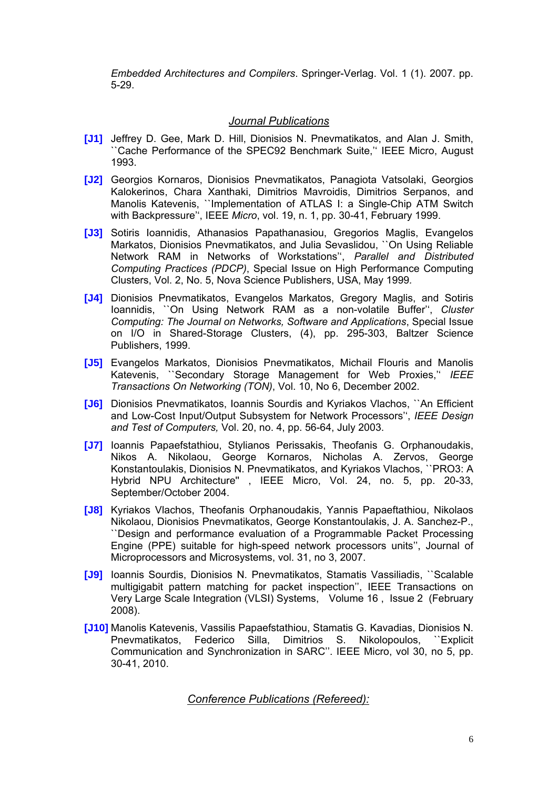*Embedded Architectures and Compilers*. Springer-Verlag. Vol. 1 (1). 2007. pp. 5-29.

### *Journal Publications*

- **[J1]** Jeffrey D. Gee, Mark D. Hill, Dionisios N. Pnevmatikatos, and Alan J. Smith, ``Cache Performance of the SPEC92 Benchmark Suite,'' IEEE Micro, August 1993.
- **[J2]** Georgios Kornaros, Dionisios Pnevmatikatos, Panagiota Vatsolaki, Georgios Kalokerinos, Chara Xanthaki, Dimitrios Mavroidis, Dimitrios Serpanos, and Manolis Katevenis, ``Implementation of ATLAS I: a Single-Chip ATM Switch with Backpressure'', IEEE *Micro*, vol. 19, n. 1, pp. 30-41, February 1999.
- **[J3]** Sotiris Ioannidis, Athanasios Papathanasiou, Gregorios Maglis, Evangelos Markatos, Dionisios Pnevmatikatos, and Julia Sevaslidou, ``On Using Reliable Network RAM in Networks of Workstations'', *Parallel and Distributed Computing Practices (PDCP)*, Special Issue on High Performance Computing Clusters, Vol. 2, No. 5, Nova Science Publishers, USA, May 1999*.*
- **[J4]** Dionisios Pnevmatikatos, Evangelos Markatos, Gregory Maglis, and Sotiris Ioannidis, ``On Using Network RAM as a non-volatile Buffer'', *Cluster Computing: The Journal on Networks, Software and Applications*, Special Issue on I/O in Shared-Storage Clusters, (4), pp. 295-303, Baltzer Science Publishers, 1999.
- **[J5]** Evangelos Markatos, Dionisios Pnevmatikatos, Michail Flouris and Manolis Katevenis, ``Secondary Storage Management for Web Proxies,'' *IEEE Transactions On Networking (TON)*, Vol. 10, No 6, December 2002.
- **[J6]** Dionisios Pnevmatikatos, Ioannis Sourdis and Kyriakos Vlachos, ``An Efficient and Low-Cost Input/Output Subsystem for Network Processors'', *IEEE Design and Test of Computers,* Vol. 20, no. 4, pp. 56-64, July 2003.
- **[J7]** Ioannis Papaefstathiou, Stylianos Perissakis, Theofanis G. Orphanoudakis, Nikos A. Nikolaou, George Kornaros, Nicholas A. Zervos, George Konstantoulakis, Dionisios N. Pnevmatikatos, and Kyriakos Vlachos, ``PRO3: A Hybrid NPU Architecture'' , IEEE Micro, Vol. 24, no. 5, pp. 20-33, September/October 2004.
- **[J8]** Kyriakos Vlachos, Theofanis Orphanoudakis, Yannis Papaeftathiou, Nikolaos Nikolaou, Dionisios Pnevmatikatos, George Konstantoulakis, J. A. Sanchez-P., ``Design and performance evaluation of a Programmable Packet Processing Engine (PPE) suitable for high-speed network processors units'', Journal of Microprocessors and Microsystems, vol. 31, no 3, 2007.
- **[J9]** Ioannis Sourdis, Dionisios N. Pnevmatikatos, Stamatis Vassiliadis, ``Scalable multigigabit pattern matching for packet inspection'', IEEE Transactions on Very Large Scale Integration (VLSI) Systems, Volume 16 , Issue 2 (February 2008).
- **[J10]** Manolis Katevenis, Vassilis Papaefstathiou, Stamatis G. Kavadias, Dionisios N. Pnevmatikatos, Federico Silla, Dimitrios S. Nikolopoulos, ``Explicit Communication and Synchronization in SARC''. IEEE Micro, vol 30, no 5, pp. 30-41, 2010.

*Conference Publications (Refereed):*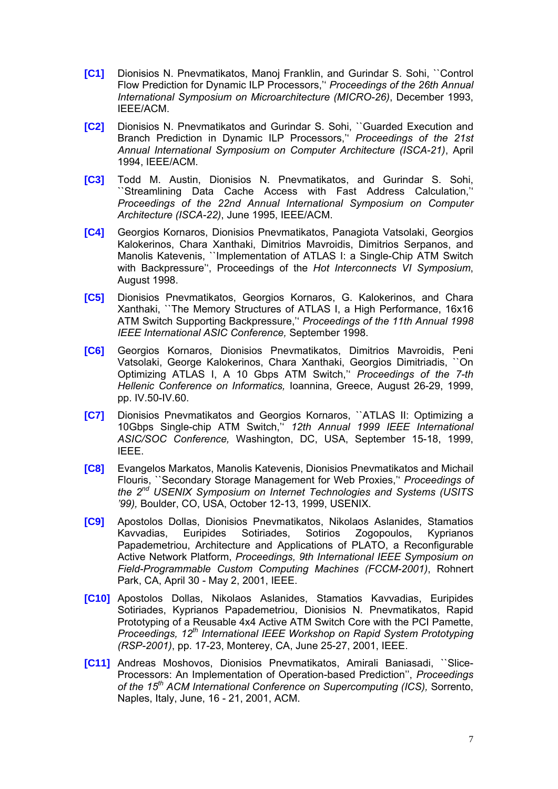- **[C1]** Dionisios N. Pnevmatikatos, Manoj Franklin, and Gurindar S. Sohi, ``Control Flow Prediction for Dynamic ILP Processors,'' *Proceedings of the 26th Annual International Symposium on Microarchitecture (MICRO-26)*, December 1993, IEEE/ACM.
- **[C2]** Dionisios N. Pnevmatikatos and Gurindar S. Sohi, ``Guarded Execution and Branch Prediction in Dynamic ILP Processors,'' *Proceedings of the 21st Annual International Symposium on Computer Architecture (ISCA-21)*, April 1994, IEEE/ACM.
- **[C3]** Todd M. Austin, Dionisios N. Pnevmatikatos, and Gurindar S. Sohi, ``Streamlining Data Cache Access with Fast Address Calculation,'' *Proceedings οf the 22nd Annual Ιnternational Symposium on Computer Architecture (ISCA-22)*, June 1995, IEEE/ACM.
- **[C4]** Georgios Kornaros, Dionisios Pnevmatikatos, Panagiota Vatsolaki, Georgios Kalokerinos, Chara Xanthaki, Dimitrios Mavroidis, Dimitrios Serpanos, and Manolis Katevenis, ``Implementation of ATLAS I: a Single-Chip ATM Switch with Backpressure'', Proceedings of the *Hot Interconnects VI Symposium*, August 1998.
- **[C5]** Dionisios Pnevmatikatos, Georgios Kornaros, G. Kalokerinos, and Chara Xanthaki, ``The Memory Structures of ATLAS I, a High Performance, 16x16 ATM Switch Supporting Backpressure,'' *Proceedings of the 11th Annual 1998 IEEE International ASIC Conference,* September 1998.
- **[C6]** Georgios Kornaros, Dionisios Pnevmatikatos, Dimitrios Mavroidis, Peni Vatsolaki, George Kalokerinos, Chara Xanthaki, Georgios Dimitriadis, ``On Optimizing ATLAS I, A 10 Gbps ATM Switch,'' *Proceedings of the 7-th Hellenic Conference on Informatics,* Ioannina, Greece, August 26-29, 1999, pp. IV.50-IV.60.
- **[C7]** Dionisios Pnevmatikatos and Georgios Kornaros, ``ATLAS II: Optimizing a 10Gbps Single-chip ATM Switch,'' *12th Annual 1999 IEEE International ASIC/SOC Conference,* Washington, DC, USA, September 15-18, 1999, IEEE.
- **[C8]** Evangelos Markatos, Manolis Katevenis, Dionisios Pnevmatikatos and Michail Flouris, ``Secondary Storage Management for Web Proxies,'' *Proceedings of the 2nd USENIX Symposium on Internet Technologies and Systems (USITS '99),* Boulder, CO, USA, October 12-13, 1999, USENIX.
- **[C9]** Apostolos Dollas, Dionisios Pnevmatikatos, Nikolaos Aslanides, Stamatios Kavvadias, Euripides Sotiriades, Sotirios Zogopoulos, Kyprianos Papademetriou, Architecture and Applications of PLATO, a Reconfigurable Active Network Platform, *Proceedings, 9th International IEEE Symposium on Field-Programmable Custom Computing Machines (FCCM-2001)*, Rohnert Park, CA, April 30 - May 2, 2001, IEEE.
- **[C10]** Apostolos Dollas, Nikolaos Aslanides, Stamatios Kavvadias, Euripides Sotiriades, Kyprianos Papademetriou, Dionisios N. Pnevmatikatos, Rapid Prototyping of a Reusable 4x4 Active ATM Switch Core with the PCI Pamette, *Proceedings, 12th International IEEE Workshop on Rapid System Prototyping (RSP-2001)*, pp. 17-23, Monterey, CA, June 25-27, 2001, IEEE.
- **[C11]** Andreas Moshovos, Dionisios Pnevmatikatos, Amirali Baniasadi, ``Slice-Processors: An Implementation of Operation-based Prediction'', *Proceedings of the 15th ACM International Conference on Supercomputing (ICS),* Sorrento, Naples, Italy, June, 16 - 21, 2001, ACM.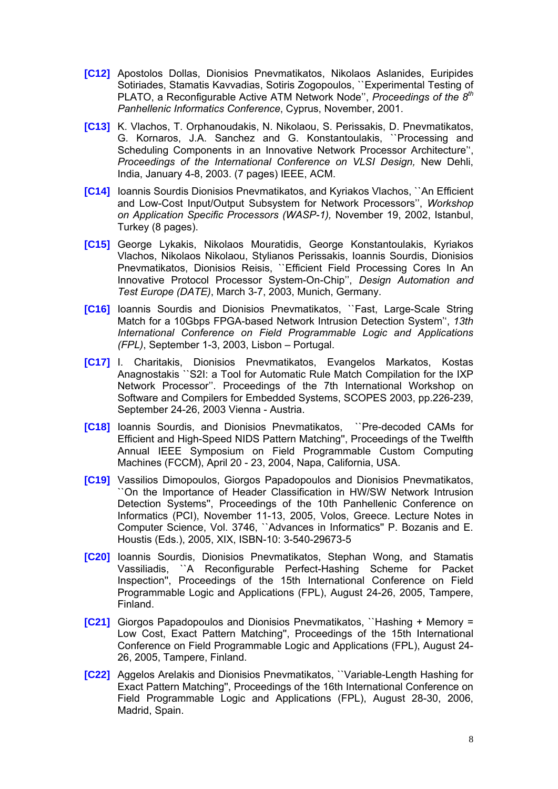- **[C12]** Apostolos Dollas, Dionisios Pnevmatikatos, Nikolaos Aslanides, Euripides Sotiriades, Stamatis Kavvadias, Sotiris Zogopoulos, ``Experimental Testing of PLATO, a Reconfigurable Active ATM Network Node'', *Proceedings of the 8th Panhellenic Informatics Conference*, Cyprus, November, 2001.
- **[C13]** K. Vlachos, T. Orphanoudakis, N. Nikolaou, S. Perissakis, D. Pnevmatikatos, G. Kornaros, J.A. Sanchez and G. Konstantoulakis, ``Processing and Scheduling Components in an Innovative Network Processor Architecture'', *Proceedings of the International Conference on VLSI Design,* New Dehli, India, January 4-8, 2003. (7 pages) IEEE, ACM.
- **[C14]** Ioannis Sourdis Dionisios Pnevmatikatos, and Kyriakos Vlachos, ``An Efficient and Low-Cost Input/Output Subsystem for Network Processors'', *Workshop on Application Specific Processors (WASP-1),* November 19, 2002, Istanbul, Turkey (8 pages).
- **[C15]** George Lykakis, Nikolaos Mouratidis, George Konstantoulakis, Kyriakos Vlachos, Nikolaos Nikolaou, Stylianos Perissakis, Ioannis Sourdis, Dionisios Pnevmatikatos, Dionisios Reisis, ``Efficient Field Processing Cores In An Innovative Protocol Processor System-On-Chip'', *Design Automation and Test Europe (DATE)*, March 3-7, 2003, Munich, Germany.
- **[C16]** Ioannis Sourdis and Dionisios Pnevmatikatos, ``Fast, Large-Scale String Match for a 10Gbps FPGA-based Network Intrusion Detection System'', *13th International Conference on Field Programmable Logic and Applications (FPL)*, September 1-3, 2003, Lisbon – Portugal.
- **[C17]** I. Charitakis, Dionisios Pnevmatikatos, Evangelos Markatos, Kostas Anagnostakis ``S2I: a Tool for Automatic Rule Match Compilation for the IXP Network Processor''. Proceedings of the 7th International Workshop on Software and Compilers for Embedded Systems, SCOPES 2003, pp.226-239, September 24-26, 2003 Vienna - Austria.
- **[C18]** Ioannis Sourdis, and Dionisios Pnevmatikatos, ``Pre-decoded CAMs for Efficient and High-Speed NIDS Pattern Matching'', Proceedings of the Twelfth Annual IEEE Symposium on Field Programmable Custom Computing Machines (FCCM), April 20 - 23, 2004, Napa, California, USA.
- **[C19]** Vassilios Dimopoulos, Giorgos Papadopoulos and Dionisios Pnevmatikatos, ``On the Importance of Header Classification in HW/SW Network Intrusion Detection Systems'', Proceedings of the 10th Panhellenic Conference on Informatics (PCI), November 11-13, 2005, Volos, Greece. Lecture Notes in Computer Science, Vol. 3746, ``Advances in Informatics'' P. Bozanis and E. Houstis (Eds.), 2005, XIX, ISBN-10: 3-540-29673-5
- **[C20]** Ioannis Sourdis, Dionisios Pnevmatikatos, Stephan Wong, and Stamatis Vassiliadis, ``A Reconfigurable Perfect-Hashing Scheme for Packet Inspection'', Proceedings of the 15th International Conference on Field Programmable Logic and Applications (FPL), August 24-26, 2005, Tampere, Finland.
- **[C21]** Giorgos Papadopoulos and Dionisios Pnevmatikatos, ``Hashing + Memory = Low Cost, Exact Pattern Matching'', Proceedings of the 15th International Conference on Field Programmable Logic and Applications (FPL), August 24- 26, 2005, Tampere, Finland.
- **[C22]** Aggelos Arelakis and Dionisios Pnevmatikatos, ``Variable-Length Hashing for Exact Pattern Matching'', Proceedings of the 16th International Conference on Field Programmable Logic and Applications (FPL), August 28-30, 2006, Madrid, Spain.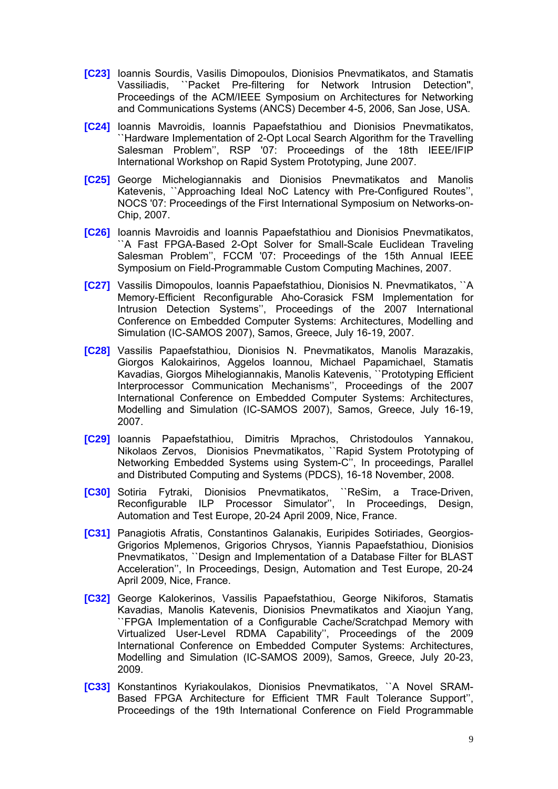- **[C23]** Ioannis Sourdis, Vasilis Dimopoulos, Dionisios Pnevmatikatos, and Stamatis Vassiliadis, ``Packet Pre-filtering for Network Intrusion Detection'', Proceedings of the ACM/IEEE Symposium on Architectures for Networking and Communications Systems (ANCS) December 4-5, 2006, San Jose, USA.
- **[C24]** Ioannis Mavroidis, Ioannis Papaefstathiou and Dionisios Pnevmatikatos, ``Hardware Implementation of 2-Opt Local Search Algorithm for the Travelling Salesman Problem'', RSP '07: Proceedings of the 18th IEEE/IFIP International Workshop on Rapid System Prototyping, June 2007.
- **[C25]** George Michelogiannakis and Dionisios Pnevmatikatos and Manolis Katevenis, ``Approaching Ideal NoC Latency with Pre-Configured Routes'', NOCS '07: Proceedings of the First International Symposium on Networks-on-Chip, 2007.
- **[C26]** Ioannis Mavroidis and Ioannis Papaefstathiou and Dionisios Pnevmatikatos, ``A Fast FPGA-Based 2-Opt Solver for Small-Scale Euclidean Traveling Salesman Problem'', FCCM '07: Proceedings of the 15th Annual IEEE Symposium on Field-Programmable Custom Computing Machines, 2007.
- **[C27]** Vassilis Dimopoulos, Ioannis Papaefstathiou, Dionisios N. Pnevmatikatos, ``A Memory-Efficient Reconfigurable Aho-Corasick FSM Implementation for Intrusion Detection Systems'', Proceedings of the 2007 International Conference on Embedded Computer Systems: Architectures, Modelling and Simulation (IC-SAMOS 2007), Samos, Greece, July 16-19, 2007.
- **[C28]** Vassilis Papaefstathiou, Dionisios N. Pnevmatikatos, Manolis Marazakis, Giorgos Kalokairinos, Aggelos Ioannou, Michael Papamichael, Stamatis Kavadias, Giorgos Mihelogiannakis, Manolis Katevenis, ``Prototyping Efficient Interprocessor Communication Mechanisms'', Proceedings of the 2007 International Conference on Embedded Computer Systems: Architectures, Modelling and Simulation (IC-SAMOS 2007), Samos, Greece, July 16-19, 2007.
- **[C29]** Ioannis Papaefstathiou, Dimitris Mprachos, Christodoulos Yannakou, Nikolaos Zervos, Dionisios Pnevmatikatos, ``Rapid System Prototyping of Networking Embedded Systems using System-C", In proceedings, Parallel and Distributed Computing and Systems (PDCS), 16-18 November, 2008.
- **[C30]** Sotiria Fytraki, Dionisios Pnevmatikatos, ``ReSim, a Trace-Driven, Reconfigurable ILP Processor Simulator'', In Proceedings, Design, Automation and Test Europe, 20-24 April 2009, Nice, France.
- **[C31]** Panagiotis Afratis, Constantinos Galanakis, Euripides Sotiriades, Georgios-Grigorios Mplemenos, Grigorios Chrysos, Yiannis Papaefstathiou, Dionisios Pnevmatikatos, ``Design and Implementation of a Database Filter for BLAST Acceleration'', In Proceedings, Design, Automation and Test Europe, 20-24 April 2009, Nice, France.
- **[C32]** George Kalokerinos, Vassilis Papaefstathiou, George Nikiforos, Stamatis Kavadias, Manolis Katevenis, Dionisios Pnevmatikatos and Xiaojun Yang, ``FPGA Implementation of a Configurable Cache/Scratchpad Memory with Virtualized User-Level RDMA Capability'', Proceedings of the 2009 International Conference on Embedded Computer Systems: Architectures, Modelling and Simulation (IC-SAMOS 2009), Samos, Greece, July 20-23, 2009.
- **[C33]** Konstantinos Kyriakoulakos, Dionisios Pnevmatikatos, ``A Novel SRAM-Based FPGA Architecture for Efficient TMR Fault Tolerance Support'', Proceedings of the 19th International Conference on Field Programmable